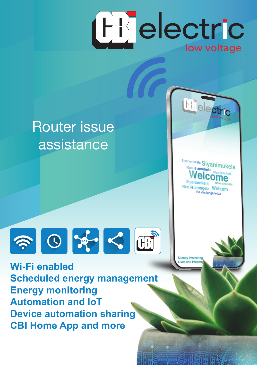

# Router issue assistance





**Wi-Fi enabled Scheduled energy management Energy monitoring Automation and IoT Device automation sharing CBI Home App and more**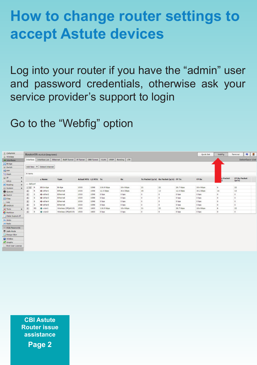## **How to change router settings to accept Astute devices**

Log into your router if you have the "admin" user and password credentials, otherwise ask your service provider's support to login

Go to the "Webfig" option

| I CAPINAN               |    |                           |          | RouterOS vs.45.6 (long-towe) |                                                                                                           |                      |      |             |               |    |                                       |           | Quick fiat   | <b>YHAF'S</b>  | $Q$ $B$<br>Terminal |
|-------------------------|----|---------------------------|----------|------------------------------|-----------------------------------------------------------------------------------------------------------|----------------------|------|-------------|---------------|----|---------------------------------------|-----------|--------------|----------------|---------------------|
| Z trickless             |    |                           |          |                              |                                                                                                           |                      |      |             |               |    |                                       |           |              |                |                     |
| <b>Militariscen</b>     |    |                           |          |                              | Drierface Drierfore List   Ethernat   Entit Turnel   SP Turnel   GEE Turnel   VLAN   VEED   Bonding   LTE |                      |      |             |               |    |                                       |           |              |                | Interface List      |
| <b>GE Bridge</b>        |    |                           |          |                              |                                                                                                           |                      |      |             |               |    |                                       |           |              |                |                     |
| <b>OF SWAR</b>          |    |                           |          | Add New Y Cebed Internet     |                                                                                                           |                      |      |             |               |    |                                       |           |              |                |                     |
| <b>HE FPP</b>           |    |                           |          |                              |                                                                                                           |                      |      |             |               |    |                                       |           |              |                |                     |
| FIS Mesh                |    | 8 items                   |          |                              |                                                                                                           |                      |      |             |               |    |                                       |           |              |                |                     |
| 设块                      | ٠  |                           |          | 4 Hame                       | Type                                                                                                      | Actual HTV 13 HTV Te |      |             | $\mathbf{r}$  |    | To Packet (a/s) By Packet (a/s) FP To |           | <b>FP Ex</b> | r Packet       | <b>FP By Packet</b> |
| HPLS                    | ٠  |                           |          |                              |                                                                                                           |                      |      |             |               |    |                                       |           |              |                | Cov(s)              |
| <b>SE Keyling</b>       | i. | 11 defaunt                |          |                              |                                                                                                           |                      |      |             |               |    |                                       |           |              |                |                     |
| <b>G3 System</b>        |    | E130 A                    |          | <b>CD bridge</b>             | <b>Bridge</b>                                                                                             | 3300                 | 1398 | 114.9 Mos.  | 18.4 kbps     | 21 | $^{22}$                               | 26.7 kbps | 18.4 Mos.    | ×              | 22                  |
| <b>B</b> Quests         |    | $\vert x \vert$           |          | o eteri                      | Ethernat                                                                                                  | 1500                 | 1599 | 12.3 kbps   | 30.6 khos     | 15 | 13                                    | 12.0 kbps | 30.2 kbps    | 36             | 33                  |
| <b>O DIRECT</b>         |    | $^{(n)}$                  |          | da schar2                    | Ethamat                                                                                                   | 1500                 | 1559 | C hps       | <b>G</b> best |    | ٠                                     | 0 hps     | O hen        | o              | ×                   |
| Lill Fives              |    | 2                         |          | O stinct                     | <b>Ethernet</b>                                                                                           | 1500                 | 1599 | 0.946       | 2 bps         |    |                                       | 0 box     | 0 bos        | $\circ$        |                     |
| Leg                     |    | $\vert$                   |          | <b>O</b> etters              | <b>Ethernat</b>                                                                                           | 1500                 | 1599 | <b>Chee</b> | 0.000         |    |                                       | 0 hps     | 0 hps        | $\blacksquare$ |                     |
| <b>M</b> KADOLS         |    | $\overline{\mathbf{z}}$   |          | O shed.                      | <b>Ethernal</b>                                                                                           | 3300                 | 1598 | <b>Chec</b> | d bps         |    | ø                                     | O box     | O box        | $\overline{a}$ | ×                   |
| $X$ Took                |    | $\overline{\mathfrak{D}}$ | <b>K</b> | <b>Challeng</b>              | Wireless (IPO4019)                                                                                        | 1500                 | 1600 | 116.9 kbps  | 18.4 kbps     | 'n | 12                                    | 26.7 kbps | 18.4 kbps    | ×              | 22                  |
| <b>C</b> Fedding        |    | 391                       |          | $0$ wien2                    | Weeless (IPQ4019)                                                                                         | 1500                 | 1600 | 4 hps       | 0 hps         | ٠  | a.                                    | 0 hps     | 0 hps        | $\overline{a}$ | ×                   |
| 2 Make Support of       |    |                           |          |                              |                                                                                                           |                      |      |             |               |    |                                       |           |              |                |                     |
| On Under                |    |                           |          |                              |                                                                                                           |                      |      |             |               |    |                                       |           |              |                |                     |
| <b>OR Bado</b>          |    |                           |          |                              |                                                                                                           |                      |      |             |               |    |                                       |           |              |                |                     |
| 7 Hds Fassuards         |    |                           |          |                              |                                                                                                           |                      |      |             |               |    |                                       |           |              |                |                     |
| <b>Philade Mode</b>     |    |                           |          |                              |                                                                                                           |                      |      |             |               |    |                                       |           |              |                |                     |
| Oesign Skin             |    |                           |          |                              |                                                                                                           |                      |      |             |               |    |                                       |           |              |                |                     |
| <b>GB</b> hrinbox       |    |                           |          |                              |                                                                                                           |                      |      |             |               |    |                                       |           |              |                |                     |
| Craphs                  |    |                           |          |                              |                                                                                                           |                      |      |             |               |    |                                       |           |              |                |                     |
| <b>End-Ouer Licence</b> |    |                           |          |                              |                                                                                                           |                      |      |             |               |    |                                       |           |              |                |                     |

**CBI Astute Router issue assistance**

**Page 2**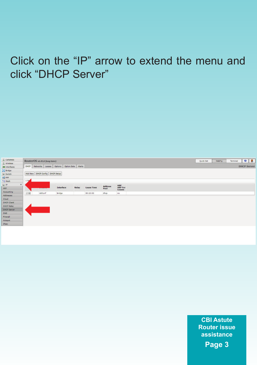## Click on the "IP" arrow to extend the menu and click "DHCP Server"



**CBI Astute Router issue assistance Page 3**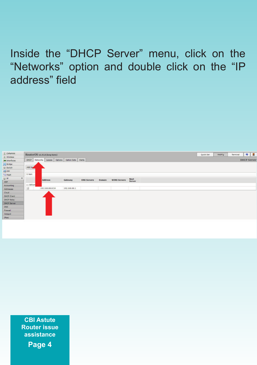Inside the "DHCP Server" menu, click on the "Networks" option and double click on the "IP address" field



**CBI Astute Router issue assistance**

**Page 4**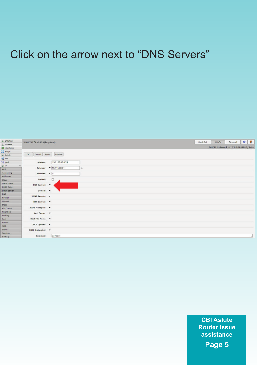#### Click on the arrow next to "DNS Servers"



**CBI Astute Router issue assistance**

**Page 5**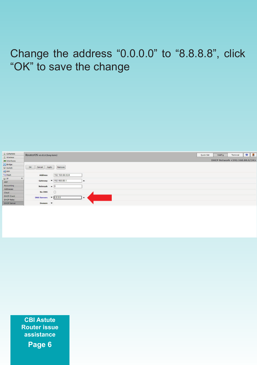## Change the address "0.0.0.0" to "8.8.8.8", click "OK" to save the change



**CBI Astute Router issue assistance Page 6**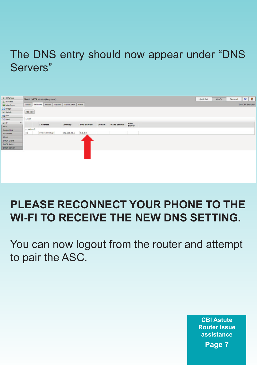### The DNS entry should now appear under "DNS Servers"

| I GRANA                                       |                    | RouterOS vs.45.8 (keep term)                    |                |                    |               |                     |                |
|-----------------------------------------------|--------------------|-------------------------------------------------|----------------|--------------------|---------------|---------------------|----------------|
| I trivies                                     |                    |                                                 |                |                    |               |                     |                |
| (Mitterfates)                                 |                    | DHOP Networks Leases Options Option Sets Alerta |                |                    |               |                     |                |
| 20 Bridge                                     |                    |                                                 |                |                    |               |                     |                |
| to Switch                                     | Add New<br>÷       |                                                 |                |                    |               |                     |                |
| <b>BOTH</b>                                   |                    |                                                 |                |                    |               |                     |                |
| <b>PC Hesh</b>                                | 1 hem              |                                                 |                |                    |               |                     |                |
| $\frac{W^{\mathbf{p}}}{\mathbf{A}\mathbf{P}}$ |                    | . Address                                       | <b>Geteway</b> | <b>DNS Servers</b> | <b>Domain</b> | <b>WINS Servers</b> | Next<br>Server |
|                                               |                    |                                                 |                |                    |               |                     |                |
| Accounting                                    | <b>LLI defined</b> |                                                 |                |                    |               |                     |                |
| <b>Addresses</b>                              | 187                | 192.168.68.0/24                                 | 192,168.88.5   | 6888               |               |                     |                |
| Cliud                                         |                    |                                                 |                |                    |               |                     |                |
| DROP Client                                   |                    |                                                 |                |                    |               |                     |                |
| Deith Raley                                   |                    |                                                 |                |                    |               |                     |                |
| DeiCP Server                                  |                    |                                                 |                |                    |               |                     |                |
|                                               |                    |                                                 |                |                    |               |                     |                |

## **PLEASE RECONNECT YOUR PHONE TO THE WI-FI TO RECEIVE THE NEW DNS SETTING.**

You can now logout from the router and attempt to pair the ASC.

> **CBI Astute Router issue assistance Page 7**